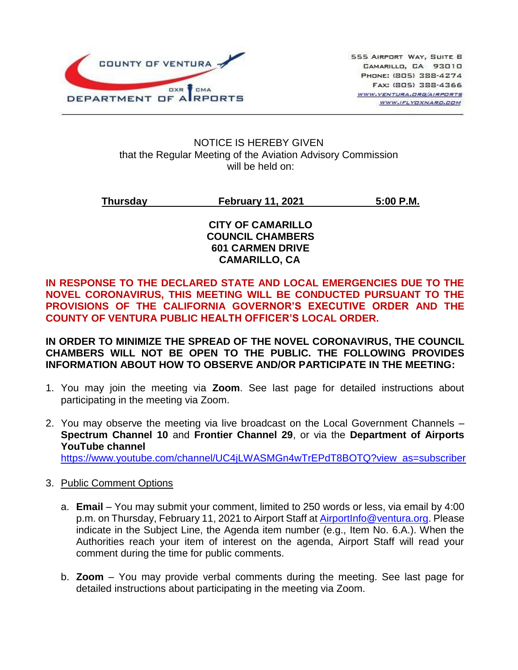

#### NOTICE IS HEREBY GIVEN that the Regular Meeting of the Aviation Advisory Commission will be held on:

**Thursday February 11, 2021 5:00 P.M.**

#### **CITY OF CAMARILLO COUNCIL CHAMBERS 601 CARMEN DRIVE CAMARILLO, CA**

**IN RESPONSE TO THE DECLARED STATE AND LOCAL EMERGENCIES DUE TO THE NOVEL CORONAVIRUS, THIS MEETING WILL BE CONDUCTED PURSUANT TO THE PROVISIONS OF THE CALIFORNIA GOVERNOR'S EXECUTIVE ORDER AND THE COUNTY OF VENTURA PUBLIC HEALTH OFFICER'S LOCAL ORDER.**

**IN ORDER TO MINIMIZE THE SPREAD OF THE NOVEL CORONAVIRUS, THE COUNCIL CHAMBERS WILL NOT BE OPEN TO THE PUBLIC. THE FOLLOWING PROVIDES INFORMATION ABOUT HOW TO OBSERVE AND/OR PARTICIPATE IN THE MEETING:** 

- 1. You may join the meeting via **Zoom**. See last page for detailed instructions about participating in the meeting via Zoom.
- 2. You may observe the meeting via live broadcast on the Local Government Channels **Spectrum Channel 10** and **Frontier Channel 29**, or via the **Department of Airports YouTube channel** [https://www.youtube.com/channel/UC4jLWASMGn4wTrEPdT8BOTQ?view\\_as=subscriber](https://www.youtube.com/channel/UC4jLWASMGn4wTrEPdT8BOTQ?view_as=subscriber)

#### 3. Public Comment Options

- a. **Email** You may submit your comment, limited to 250 words or less, via email by 4:00 p.m. on Thursday, February 11, 2021 to Airport Staff at [AirportInfo@ventura.org.](mailto:AirportInfo@ventura.org) Please indicate in the Subject Line, the Agenda item number (e.g., Item No. 6.A.). When the Authorities reach your item of interest on the agenda, Airport Staff will read your comment during the time for public comments.
- b. **Zoom** You may provide verbal comments during the meeting. See last page for detailed instructions about participating in the meeting via Zoom.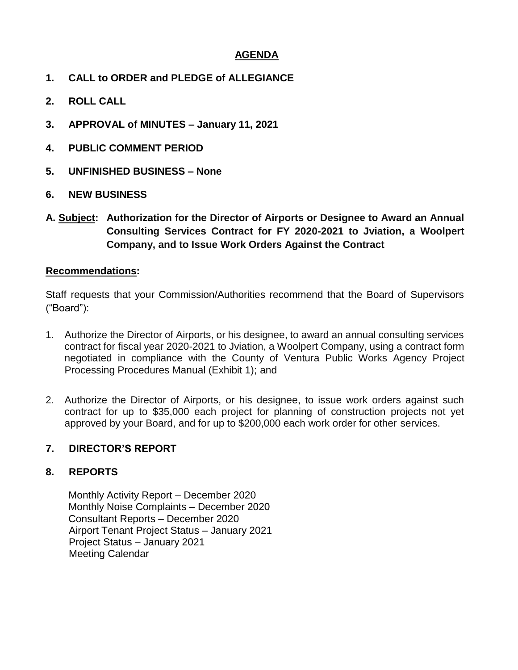### **AGENDA**

- **1. CALL to ORDER and PLEDGE of ALLEGIANCE**
- **2. ROLL CALL**
- **3. APPROVAL of MINUTES – January 11, 2021**
- **4. PUBLIC COMMENT PERIOD**
- **5. UNFINISHED BUSINESS – None**
- **6. NEW BUSINESS**
- **A. Subject: Authorization for the Director of Airports or Designee to Award an Annual Consulting Services Contract for FY 2020-2021 to Jviation, a Woolpert Company, and to Issue Work Orders Against the Contract**

#### **Recommendations:**

Staff requests that your Commission/Authorities recommend that the Board of Supervisors ("Board"):

- 1. Authorize the Director of Airports, or his designee, to award an annual consulting services contract for fiscal year 2020-2021 to Jviation, a Woolpert Company, using a contract form negotiated in compliance with the County of Ventura Public Works Agency Project Processing Procedures Manual (Exhibit 1); and
- 2. Authorize the Director of Airports, or his designee, to issue work orders against such contract for up to \$35,000 each project for planning of construction projects not yet approved by your Board, and for up to \$200,000 each work order for other services.

#### **7. DIRECTOR'S REPORT**

#### **8. REPORTS**

Monthly Activity Report – December 2020 Monthly Noise Complaints – December 2020 Consultant Reports – December 2020 Airport Tenant Project Status – January 2021 Project Status – January 2021 Meeting Calendar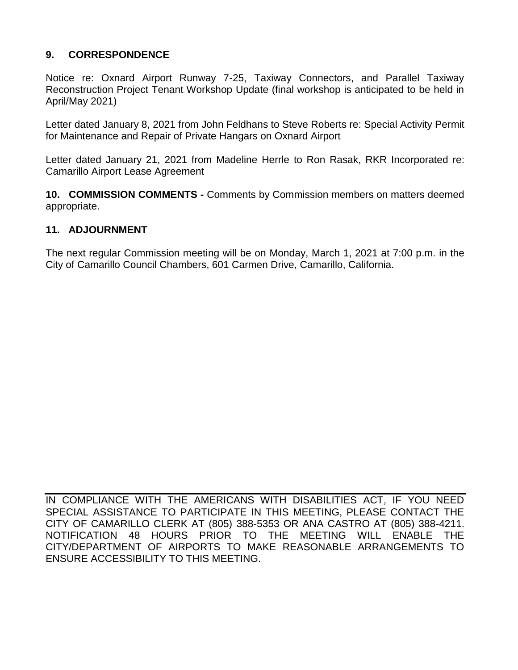# **9. CORRESPONDENCE**

Notice re: Oxnard Airport Runway 7-25, Taxiway Connectors, and Parallel Taxiway Reconstruction Project Tenant Workshop Update (final workshop is anticipated to be held in April/May 2021)

Letter dated January 8, 2021 from John Feldhans to Steve Roberts re: Special Activity Permit for Maintenance and Repair of Private Hangars on Oxnard Airport

Letter dated January 21, 2021 from Madeline Herrle to Ron Rasak, RKR Incorporated re: Camarillo Airport Lease Agreement

**10. COMMISSION COMMENTS -** Comments by Commission members on matters deemed appropriate.

# **11. ADJOURNMENT**

The next regular Commission meeting will be on Monday, March 1, 2021 at 7:00 p.m. in the City of Camarillo Council Chambers, 601 Carmen Drive, Camarillo, California.

IN COMPLIANCE WITH THE AMERICANS WITH DISABILITIES ACT, IF YOU NEED SPECIAL ASSISTANCE TO PARTICIPATE IN THIS MEETING, PLEASE CONTACT THE CITY OF CAMARILLO CLERK AT (805) 388-5353 OR ANA CASTRO AT (805) 388-4211. NOTIFICATION 48 HOURS PRIOR TO THE MEETING WILL ENABLE THE CITY/DEPARTMENT OF AIRPORTS TO MAKE REASONABLE ARRANGEMENTS TO ENSURE ACCESSIBILITY TO THIS MEETING.